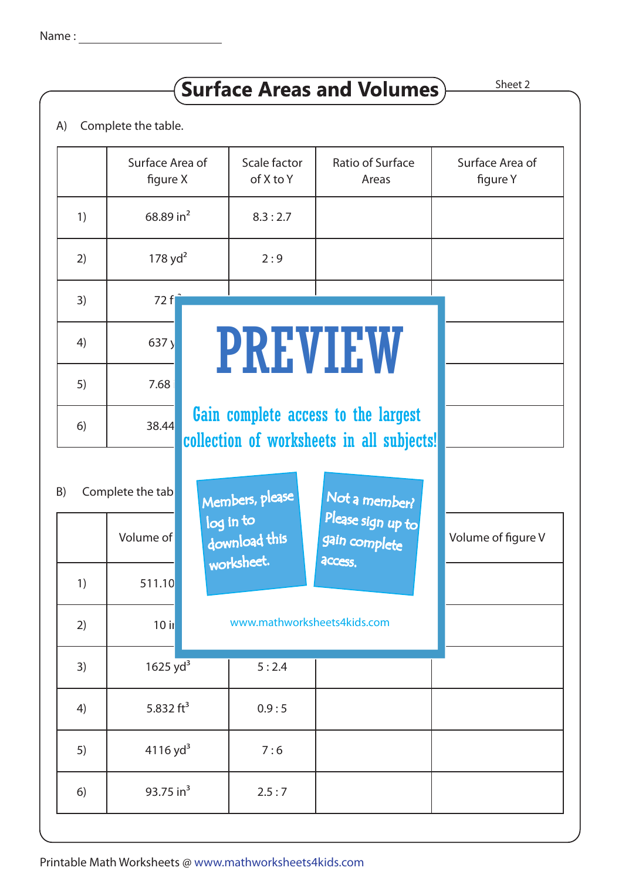## $S$ urface Areas and Volumes) Sheet 2

A) Complete the table.

|                        | Surface Area of<br>figure X |         | Scale factor<br>of X to Y                                                        | Ratio of Surface<br>Areas          | Surface Area of<br>figure Y |  |  |  |  |
|------------------------|-----------------------------|---------|----------------------------------------------------------------------------------|------------------------------------|-----------------------------|--|--|--|--|
| 1)                     | 68.89 in $^2$               |         | 8.3:2.7                                                                          |                                    |                             |  |  |  |  |
| 2)                     | $178$ yd <sup>2</sup>       |         | 2:9                                                                              |                                    |                             |  |  |  |  |
| 3)                     | 72 fl                       |         |                                                                                  |                                    |                             |  |  |  |  |
| 4)                     | 637y                        | PREVIEW |                                                                                  |                                    |                             |  |  |  |  |
| 5)                     | 7.68                        |         |                                                                                  |                                    |                             |  |  |  |  |
| 6)                     | 38.44                       |         | Gain complete access to the largest<br>collection of worksheets in all subjects! |                                    |                             |  |  |  |  |
| Complete the tab<br>B) |                             |         | Members, please<br>log in to                                                     | Not a member?<br>Please sign up to |                             |  |  |  |  |
|                        | Volume of                   |         | download this<br>worksheet.                                                      | gain complete<br>access.           | Volume of figure V          |  |  |  |  |
| 1)                     | 511.10                      |         |                                                                                  |                                    |                             |  |  |  |  |
| 2)                     | $10$ il                     |         | www.mathworksheets4kids.com                                                      |                                    |                             |  |  |  |  |
| 3)                     | 1625 $yd^3$                 |         | 5:2.4                                                                            |                                    |                             |  |  |  |  |
| 4)                     | 5.832 $ft^3$                |         | 0.9:5                                                                            |                                    |                             |  |  |  |  |
| 5)                     | $4116$ yd <sup>3</sup>      |         | 7:6                                                                              |                                    |                             |  |  |  |  |
| 6)                     | 93.75 in <sup>3</sup>       |         | 2.5:7                                                                            |                                    |                             |  |  |  |  |